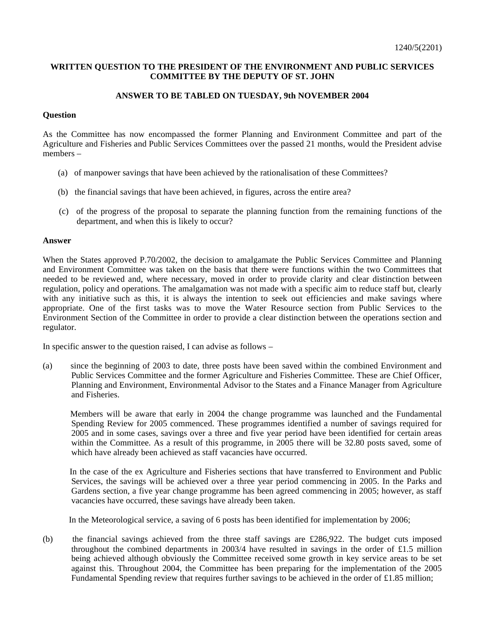## **WRITTEN QUESTION TO THE PRESIDENT OF THE ENVIRONMENT AND PUBLIC SERVICES COMMITTEE BY THE DEPUTY OF ST. JOHN**

## **ANSWER TO BE TABLED ON TUESDAY, 9th NOVEMBER 2004**

## **Question**

As the Committee has now encompassed the former Planning and Environment Committee and part of the Agriculture and Fisheries and Public Services Committees over the passed 21 months, would the President advise members –

- (a) of manpower savings that have been achieved by the rationalisation of these Committees?
- (b) the financial savings that have been achieved, in figures, across the entire area?
- (c) of the progress of the proposal to separate the planning function from the remaining functions of the department, and when this is likely to occur?

## **Answer**

When the States approved P.70/2002, the decision to amalgamate the Public Services Committee and Planning and Environment Committee was taken on the basis that there were functions within the two Committees that needed to be reviewed and, where necessary, moved in order to provide clarity and clear distinction between regulation, policy and operations. The amalgamation was not made with a specific aim to reduce staff but, clearly with any initiative such as this, it is always the intention to seek out efficiencies and make savings where appropriate. One of the first tasks was to move the Water Resource section from Public Services to the Environment Section of the Committee in order to provide a clear distinction between the operations section and regulator.

In specific answer to the question raised, I can advise as follows –

(a) since the beginning of 2003 to date, three posts have been saved within the combined Environment and Public Services Committee and the former Agriculture and Fisheries Committee. These are Chief Officer, Planning and Environment, Environmental Advisor to the States and a Finance Manager from Agriculture and Fisheries.

 Members will be aware that early in 2004 the change programme was launched and the Fundamental Spending Review for 2005 commenced. These programmes identified a number of savings required for 2005 and in some cases, savings over a three and five year period have been identified for certain areas within the Committee. As a result of this programme, in 2005 there will be 32.80 posts saved, some of which have already been achieved as staff vacancies have occurred.

 In the case of the ex Agriculture and Fisheries sections that have transferred to Environment and Public Services, the savings will be achieved over a three year period commencing in 2005. In the Parks and Gardens section, a five year change programme has been agreed commencing in 2005; however, as staff vacancies have occurred, these savings have already been taken.

In the Meteorological service, a saving of 6 posts has been identified for implementation by 2006;

(b) the financial savings achieved from the three staff savings are £286,922. The budget cuts imposed throughout the combined departments in 2003/4 have resulted in savings in the order of £1.5 million being achieved although obviously the Committee received some growth in key service areas to be set against this. Throughout 2004, the Committee has been preparing for the implementation of the 2005 Fundamental Spending review that requires further savings to be achieved in the order of £1.85 million;